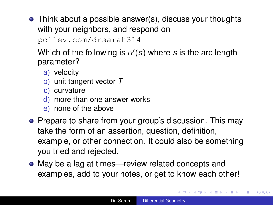<span id="page-0-0"></span>• Think about a possible answer(s), discuss your thoughts with your neighbors, and respond on

<pollev.com/drsarah314>

Which of the following is  $\alpha'(\bm{s})$  where  $\bm{s}$  is the arc length parameter?

- a) velocity
- b) unit tangent vector *T*
- c) curvature
- d) more than one answer works
- e) none of the above
- Prepare to share from your group's discussion. This may take the form of an assertion, question, definition, example, or other connection. It could also be something you tried and rejected.
- May be a lag at times—review related concepts and examples, add to your notes, or get to know each other!

K ロ ▶ K 御 ▶ K 君 ▶ K 君 ▶ ○ 君

 $2Q$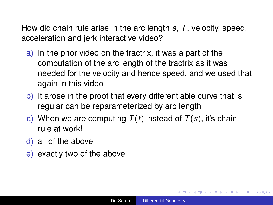<span id="page-1-0"></span>How did chain rule arise in the arc length *s*, *T*, velocity, speed, acceleration and jerk interactive video?

- a) In the prior video on the tractrix, it was a part of the computation of the arc length of the tractrix as it was needed for the velocity and hence speed, and we used that again in this video
- b) It arose in the proof that every differentiable curve that is regular can be reparameterized by arc length
- c) When we are computing  $T(t)$  instead of  $T(s)$ , it's chain rule at work!
- d) all of the above
- e) exactly two of the above

4 ロ ) (何 ) (日 ) (日 )

÷.  $QQ$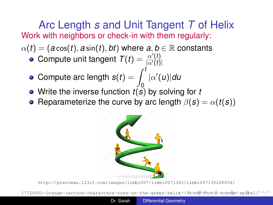## <span id="page-2-0"></span>Arc Length *s* and Unit Tangent *T* of Helix Work with neighbors or check-in with them regularly:

- $\alpha(t) = (a \cos(t), a \sin(t), bt)$  where  $a, b \in \mathbb{R}$  constants
	- Compute unit tangent  $T(t) = \frac{\alpha'(t)}{|\alpha'(t)|}$  $|\alpha'(t)|$
	- $\textsf{Compute} \ \textsf{arc} \ \textsf{length} \ \textsf{s}(t) = \int_0^t |\alpha'(u)|du$
	- 0 Write the inverse function *t*(*s*) by solving for *t*
	- Reparameterize the curve by arc length  $\beta(s) = \alpha(t(s))$



[http://previews.123rf.com/images/limbi007/limbi0071302/limbi007130200034/](http://previews.123rf.com/images/limbi007/limbi0071302/limbi007130200034/17726502-Orange-cartoon-characters-runs-on-the-green-helix--Stock-Photo-orange-spiral.jpg)

 $17726502$ -Orange-cartoon-characters-runs-on-the-green-heli[x](#page-1-0) $-\texttt{Stock-Prob}$  $-\texttt{Stock-Prob}$  $-\texttt{Stock-Prob}$  $-\texttt{Stock-Prob}$  $-\texttt{Stock-Prob}$  $-\texttt{Stock-Prob}$  $-\texttt{Stock-Prob}$  $-\texttt{Stock-Prob}$ P[h](http://previews.123rf.com/images/limbi007/limbi0071302/limbi007130200034/17726502-Orange-cartoon-characters-runs-on-the-green-helix--Stock-Photo-orange-spiral.jpg)[ot](#page-0-0)o[-o](#page-4-0)r[an](#page-0-0)[ge](http://previews.123rf.com/images/limbi007/limbi0071302/limbi007130200034/17726502-Orange-cartoon-characters-runs-on-the-green-helix--Stock-Photo-orange-spiral.jpg)[-](#page-4-0)[spi](#page-0-0)ral $\mathcal{O} \, \mathbb{Q} \, \mathbb{Q}$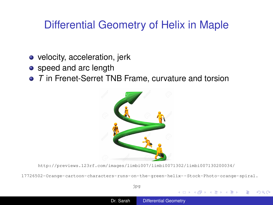## <span id="page-3-0"></span>Differential Geometry of Helix in Maple

- velocity, acceleration, jerk
- speed and arc length
- *T* in Frenet-Serret TNB Frame, curvature and torsion



[http://previews.123rf.com/images/limbi007/limbi0071302/limbi007130200034/](http://previews.123rf.com/images/limbi007/limbi0071302/limbi007130200034/17726502-Orange-cartoon-characters-runs-on-the-green-helix--Stock-Photo-orange-spiral.jpg)

[17726502-Orange-cartoon-characters-runs-on-the-green-helix--Stock-Photo-orange-spira](http://previews.123rf.com/images/limbi007/limbi0071302/limbi007130200034/17726502-Orange-cartoon-characters-runs-on-the-green-helix--Stock-Photo-orange-spiral.jpg)l.

 $\left\{ \left\vert \left\langle \varphi \right\vert \right\vert >+\left\vert \varphi \right\vert \right\}$ 

4 0 8

 $\Omega$